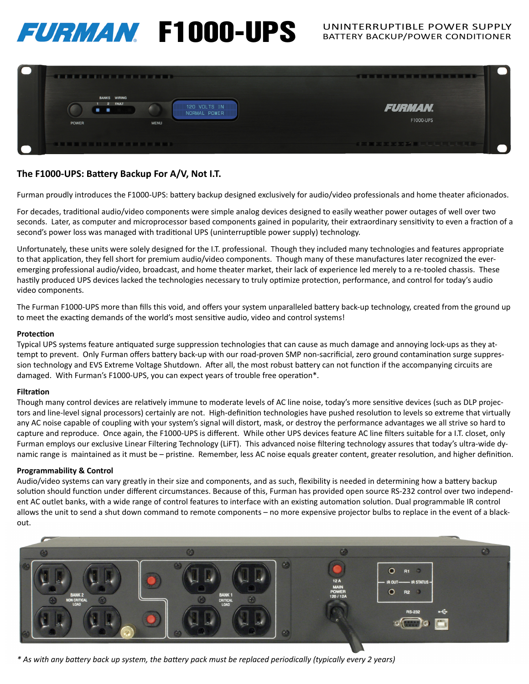# FURMAN F1000-UPS UNINTERRUPTIBLE POWER SUPPLY



## The F1000-UPS: Battery Backup For A/V, Not I.T.

Furman proudly introduces the F1000-UPS: battery backup designed exclusively for audio/video professionals and home theater aficionados.

For decades, traditional audio/video components were simple analog devices designed to easily weather power outages of well over two seconds. Later, as computer and microprocessor based components gained in popularity, their extraordinary sensitivity to even a fraction of a second's power loss was managed with traditional UPS (uninterruptible power supply) technology.

Unfortunately, these units were solely designed for the I.T. professional. Though they included many technologies and features appropriate to that application, they fell short for premium audio/video components. Though many of these manufactures later recognized the everemerging professional audio/video, broadcast, and home theater market, their lack of experience led merely to a re-tooled chassis. These hastily produced UPS devices lacked the technologies necessary to truly optimize protection, performance, and control for today's audio video components.

The Furman F1000-UPS more than fills this void, and offers your system unparalleled battery back-up technology, created from the ground up to meet the exacting demands of the world's most sensitive audio, video and control systems!

### **Protection**

Typical UPS systems feature antiquated surge suppression technologies that can cause as much damage and annoying lock-ups as they attempt to prevent. Only Furman offers battery back-up with our road-proven SMP non-sacrificial, zero ground contamination surge suppression technology and EVS Extreme Voltage Shutdown. After all, the most robust battery can not function if the accompanying circuits are damaged. With Furman's F1000-UPS, you can expect years of trouble free operation\*.

## **Filtration**

Though many control devices are relatively immune to moderate levels of AC line noise, today's more sensitive devices (such as DLP projectors and line-level signal processors) certainly are not. High-definition technologies have pushed resolution to levels so extreme that virtually any AC noise capable of coupling with your system's signal will distort, mask, or destroy the performance advantages we all strive so hard to capture and reproduce. Once again, the F1000-UPS is different. While other UPS devices feature AC line filters suitable for a I.T. closet, only Furman employs our exclusive Linear Filtering Technology (LiFT). This advanced noise filtering technology assures that today's ultra-wide dynamic range is maintained as it must be – pristine. Remember, less AC noise equals greater content, greater resolution, and higher definition.

## **Programmability & Control**

Audio/video systems can vary greatly in their size and components, and as such, flexibility is needed in determining how a battery backup solution should function under different circumstances. Because of this, Furman has provided open source RS-232 control over two independent AC outlet banks, with a wide range of control features to interface with an existing automation solution. Dual programmable IR control allows the unit to send a shut down command to remote components – no more expensive projector bulbs to replace in the event of a blackout.



*\* As with any batt ery back up system, the batt ery pack must be replaced periodically (typically every 2 years)*